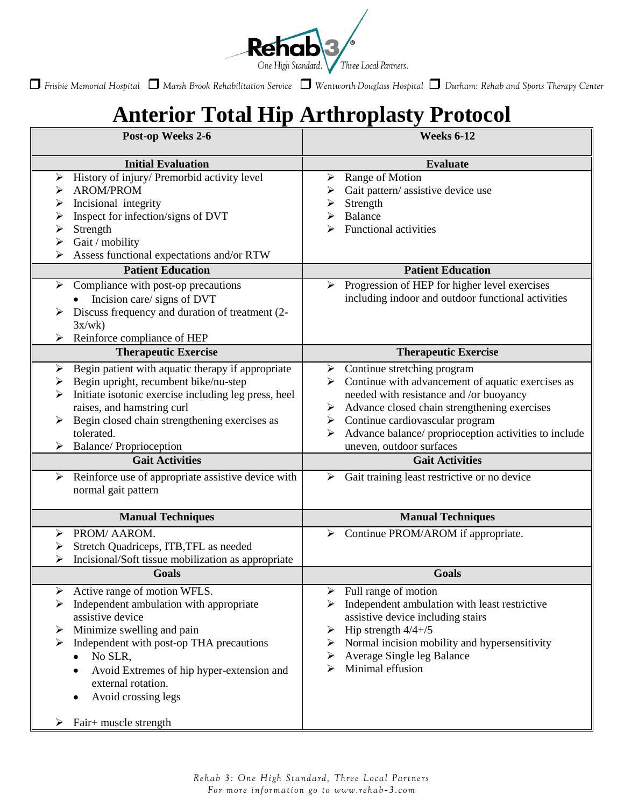

*Frisbie Memorial Hospital Marsh Brook Rehabilitation Service Wentworth-Douglass Hospital Durham: Rehab and Sports Therapy Center*

# **Anterior Total Hip Arthroplasty Protocol**

| Post-op Weeks 2-6                                                                                                                                                                                                                                                                                                                                                                         | <b>Weeks 6-12</b>                                                                                                                                                                                                                                                                                                                                                                                                         |
|-------------------------------------------------------------------------------------------------------------------------------------------------------------------------------------------------------------------------------------------------------------------------------------------------------------------------------------------------------------------------------------------|---------------------------------------------------------------------------------------------------------------------------------------------------------------------------------------------------------------------------------------------------------------------------------------------------------------------------------------------------------------------------------------------------------------------------|
| <b>Initial Evaluation</b>                                                                                                                                                                                                                                                                                                                                                                 | <b>Evaluate</b>                                                                                                                                                                                                                                                                                                                                                                                                           |
| History of injury/ Premorbid activity level<br>➤<br><b>AROM/PROM</b><br>⋗<br>Incisional integrity<br>➤<br>Inspect for infection/signs of DVT<br>➤<br>Strength<br>➤<br>Gait / mobility<br>➤<br>Assess functional expectations and/or RTW                                                                                                                                                   | Range of Motion<br>➤<br>Gait pattern/assistive device use<br>Strength<br>➤<br>Balance<br><b>Functional activities</b>                                                                                                                                                                                                                                                                                                     |
| <b>Patient Education</b>                                                                                                                                                                                                                                                                                                                                                                  | <b>Patient Education</b>                                                                                                                                                                                                                                                                                                                                                                                                  |
| Compliance with post-op precautions<br>➤<br>Incision care/ signs of DVT<br>Discuss frequency and duration of treatment (2-<br>3x/wk<br>Reinforce compliance of HEP                                                                                                                                                                                                                        | Progression of HEP for higher level exercises<br>➤<br>including indoor and outdoor functional activities                                                                                                                                                                                                                                                                                                                  |
| <b>Therapeutic Exercise</b>                                                                                                                                                                                                                                                                                                                                                               | <b>Therapeutic Exercise</b>                                                                                                                                                                                                                                                                                                                                                                                               |
| Begin patient with aquatic therapy if appropriate<br>➤<br>Begin upright, recumbent bike/nu-step<br>➤<br>Initiate isotonic exercise including leg press, heel<br>raises, and hamstring curl<br>Begin closed chain strengthening exercises as<br>➤<br>tolerated.<br><b>Balance/Proprioception</b><br>➤<br><b>Gait Activities</b><br>Reinforce use of appropriate assistive device with<br>➤ | $\triangleright$ Continue stretching program<br>$\triangleright$ Continue with advancement of aquatic exercises as<br>needed with resistance and /or buoyancy<br>Advance closed chain strengthening exercises<br>Continue cardiovascular program<br>≻<br>Advance balance/ proprioception activities to include<br>uneven, outdoor surfaces<br><b>Gait Activities</b><br>Gait training least restrictive or no device<br>➤ |
| normal gait pattern                                                                                                                                                                                                                                                                                                                                                                       |                                                                                                                                                                                                                                                                                                                                                                                                                           |
| <b>Manual Techniques</b>                                                                                                                                                                                                                                                                                                                                                                  | <b>Manual Techniques</b>                                                                                                                                                                                                                                                                                                                                                                                                  |
| PROM/ AAROM.<br>⋗<br>Stretch Quadriceps, ITB, TFL as needed<br>➤<br>Incisional/Soft tissue mobilization as appropriate                                                                                                                                                                                                                                                                    | Continue PROM/AROM if appropriate.<br>➤                                                                                                                                                                                                                                                                                                                                                                                   |
| <b>Goals</b>                                                                                                                                                                                                                                                                                                                                                                              | <b>Goals</b>                                                                                                                                                                                                                                                                                                                                                                                                              |
| Active range of motion WFLS.<br>➤<br>Independent ambulation with appropriate<br>➤<br>assistive device<br>Minimize swelling and pain<br>➤<br>Independent with post-op THA precautions<br>➤<br>No SLR,<br>٠<br>Avoid Extremes of hip hyper-extension and<br>external rotation.<br>Avoid crossing legs<br>Fair+ muscle strength<br>➤                                                         | Full range of motion<br>➤<br>Independent ambulation with least restrictive<br>assistive device including stairs<br>Hip strength $4/4 + /5$<br>➤<br>Normal incision mobility and hypersensitivity<br>➤<br>Average Single leg Balance<br>➤<br>Minimal effusion<br>⋗                                                                                                                                                         |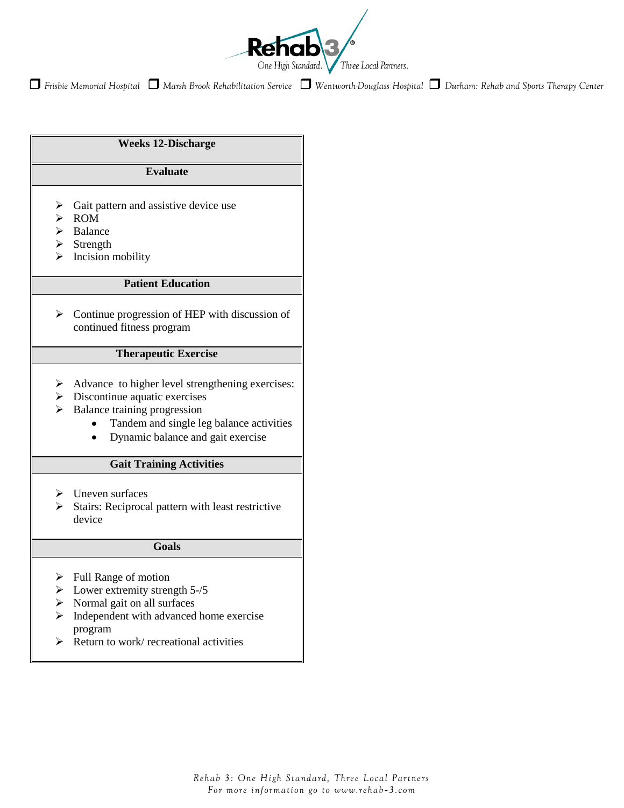

*Frisbie Memorial Hospital Marsh Brook Rehabilitation Service Wentworth-Douglass Hospital Durham: Rehab and Sports Therapy Center*

## **Weeks 12-Discharge**

## **Evaluate**

- $\triangleright$  Gait pattern and assistive device use
- $\triangleright$  ROM
- $\triangleright$  Balance
- $\triangleright$  Strength
- $\triangleright$  Incision mobility

## **Patient Education**

 $\triangleright$  Continue progression of HEP with discussion of continued fitness program

## **Therapeutic Exercise**

- $\triangleright$  Advance to higher level strengthening exercises:
- $\triangleright$  Discontinue aquatic exercises
- $\triangleright$  Balance training progression
	- Tandem and single leg balance activities  $\bullet$
	- Dynamic balance and gait exercise  $\bullet$

## **Gait Training Activities**

- $\triangleright$  Uneven surfaces
- $\triangleright$  Stairs: Reciprocal pattern with least restrictive device

### **Goals**

- $\triangleright$  Full Range of motion
- $\blacktriangleright$  Lower extremity strength 5-/5
- $\triangleright$  Normal gait on all surfaces
- $\triangleright$  Independent with advanced home exercise program
- $\triangleright$  Return to work/ recreational activities